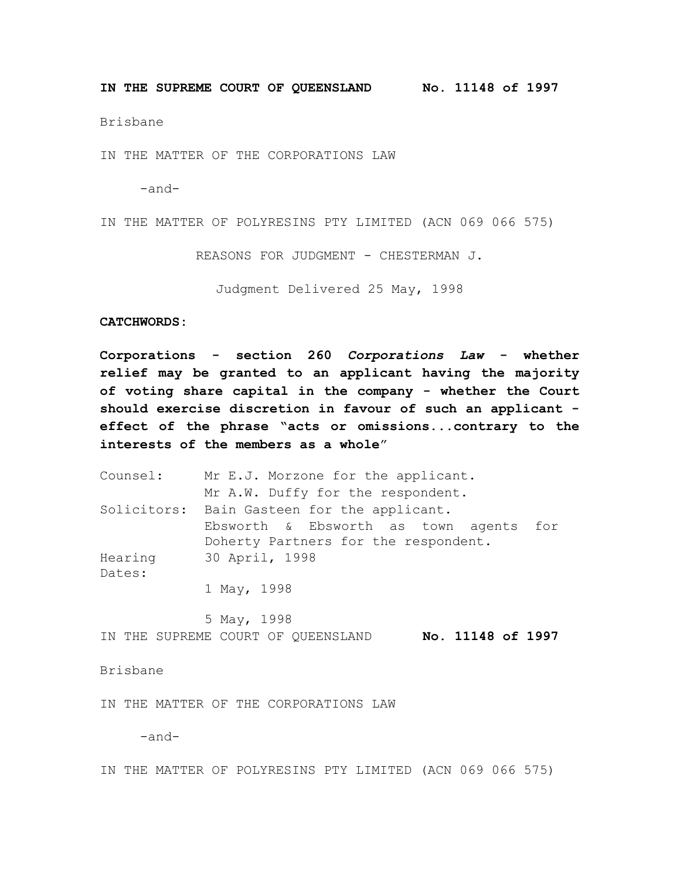**IN THE SUPREME COURT OF QUEENSLAND No. 11148 of 1997**

Brisbane

IN THE MATTER OF THE CORPORATIONS LAW

-and-

IN THE MATTER OF POLYRESINS PTY LIMITED (ACN 069 066 575)

REASONS FOR JUDGMENT - CHESTERMAN J.

Judgment Delivered 25 May, 1998

## **CATCHWORDS:**

**Corporations - section 260** *Corporations Law* **- whether relief may be granted to an applicant having the majority of voting share capital in the company - whether the Court should exercise discretion in favour of such an applicant effect of the phrase "acts or omissions...contrary to the interests of the members as a whole**"

Counsel: Mr E.J. Morzone for the applicant. Mr A.W. Duffy for the respondent. Solicitors: Bain Gasteen for the applicant. Ebsworth & Ebsworth as town agents for Doherty Partners for the respondent. Hearing Dates: 30 April, 1998 1 May, 1998

5 May, 1998 IN THE SUPREME COURT OF QUEENSLAND **No. 11148 of 1997**

Brisbane

IN THE MATTER OF THE CORPORATIONS LAW

-and-

IN THE MATTER OF POLYRESINS PTY LIMITED (ACN 069 066 575)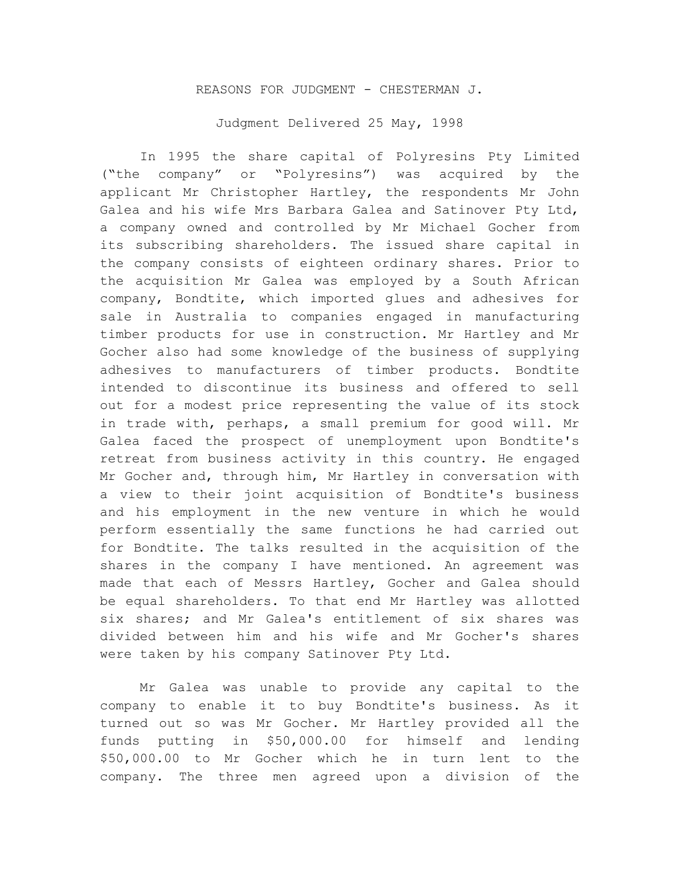## REASONS FOR JUDGMENT - CHESTERMAN J.

Judgment Delivered 25 May, 1998

In 1995 the share capital of Polyresins Pty Limited ("the company" or "Polyresins") was acquired by the applicant Mr Christopher Hartley, the respondents Mr John Galea and his wife Mrs Barbara Galea and Satinover Pty Ltd, a company owned and controlled by Mr Michael Gocher from its subscribing shareholders. The issued share capital in the company consists of eighteen ordinary shares. Prior to the acquisition Mr Galea was employed by a South African company, Bondtite, which imported glues and adhesives for sale in Australia to companies engaged in manufacturing timber products for use in construction. Mr Hartley and Mr Gocher also had some knowledge of the business of supplying adhesives to manufacturers of timber products. Bondtite intended to discontinue its business and offered to sell out for a modest price representing the value of its stock in trade with, perhaps, a small premium for good will. Mr Galea faced the prospect of unemployment upon Bondtite's retreat from business activity in this country. He engaged Mr Gocher and, through him, Mr Hartley in conversation with a view to their joint acquisition of Bondtite's business and his employment in the new venture in which he would perform essentially the same functions he had carried out for Bondtite. The talks resulted in the acquisition of the shares in the company I have mentioned. An agreement was made that each of Messrs Hartley, Gocher and Galea should be equal shareholders. To that end Mr Hartley was allotted six shares; and Mr Galea's entitlement of six shares was divided between him and his wife and Mr Gocher's shares were taken by his company Satinover Pty Ltd.

Mr Galea was unable to provide any capital to the company to enable it to buy Bondtite's business. As it turned out so was Mr Gocher. Mr Hartley provided all the funds putting in \$50,000.00 for himself and lending \$50,000.00 to Mr Gocher which he in turn lent to the company. The three men agreed upon a division of the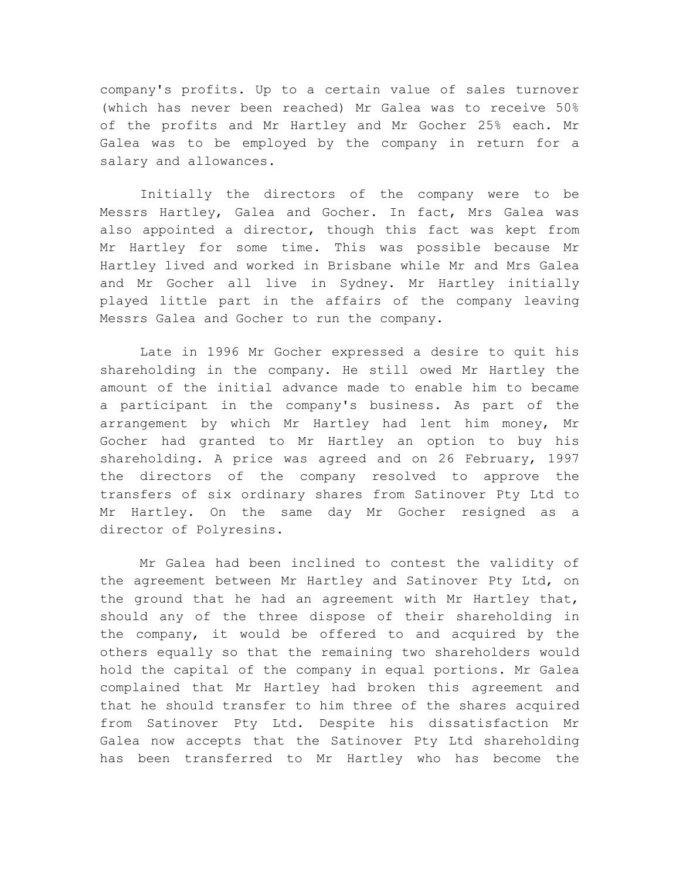company's profits. Up to a certain value of sales turnover (which has never been reached) Mr Galea was to receive 50% of the profits and Mr Hartley and Mr Gocher 25% each. Mr Galea was to be employed by the company in return for a salary and allowances.

Initially the directors of the company were to be Messrs Hartley, Galea and Gocher. In fact, Mrs Galea was also appointed a director, though this fact was kept from Mr Hartley for some time. This was possible because Mr Hartley lived and worked in Brisbane while Mr and Mrs Galea and Mr Gocher all live in Sydney. Mr Hartley initially played little part in the affairs of the company leaving Messrs Galea and Gocher to run the company.

Late in 1996 Mr Gocher expressed a desire to quit his shareholding in the company. He still owed Mr Hartley the amount of the initial advance made to enable him to became a participant in the company's business. As part of the arrangement by which Mr Hartley had lent him money, Mr Gocher had granted to Mr Hartley an option to buy his shareholding. A price was agreed and on 26 February, 1997 the directors of the company resolved to approve the transfers of six ordinary shares from Satinover Pty Ltd to Mr Hartley. On the same day Mr Gocher resigned as a director of Polyresins.

Mr Galea had been inclined to contest the validity of the agreement between Mr Hartley and Satinover Pty Ltd, on the ground that he had an agreement with Mr Hartley that, should any of the three dispose of their shareholding in the company, it would be offered to and acquired by the others equally so that the remaining two shareholders would hold the capital of the company in equal portions. Mr Galea complained that Mr Hartley had broken this agreement and that he should transfer to him three of the shares acquired from Satinover Pty Ltd. Despite his dissatisfaction Mr Galea now accepts that the Satinover Pty Ltd shareholding has been transferred to Mr Hartley who has become the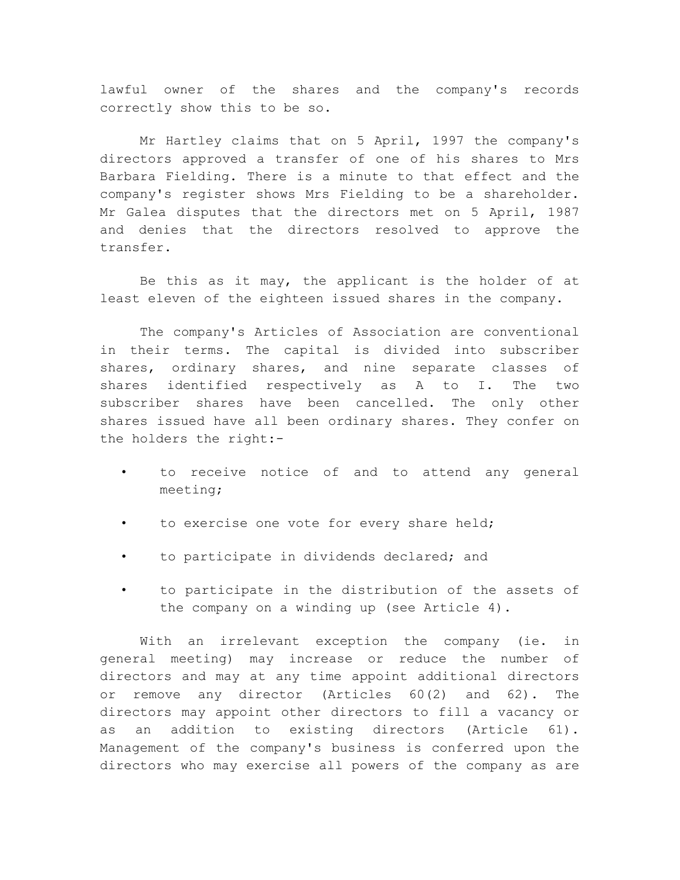lawful owner of the shares and the company's records correctly show this to be so.

Mr Hartley claims that on 5 April, 1997 the company's directors approved a transfer of one of his shares to Mrs Barbara Fielding. There is a minute to that effect and the company's register shows Mrs Fielding to be a shareholder. Mr Galea disputes that the directors met on 5 April, 1987 and denies that the directors resolved to approve the transfer.

Be this as it may, the applicant is the holder of at least eleven of the eighteen issued shares in the company.

The company's Articles of Association are conventional in their terms. The capital is divided into subscriber shares, ordinary shares, and nine separate classes of shares identified respectively as A to I. The two subscriber shares have been cancelled. The only other shares issued have all been ordinary shares. They confer on the holders the right:-

- to receive notice of and to attend any general meeting;
- to exercise one vote for every share held;
- to participate in dividends declared; and
- to participate in the distribution of the assets of the company on a winding up (see Article 4).

With an irrelevant exception the company (ie. in general meeting) may increase or reduce the number of directors and may at any time appoint additional directors or remove any director (Articles 60(2) and 62). The directors may appoint other directors to fill a vacancy or as an addition to existing directors (Article 61). Management of the company's business is conferred upon the directors who may exercise all powers of the company as are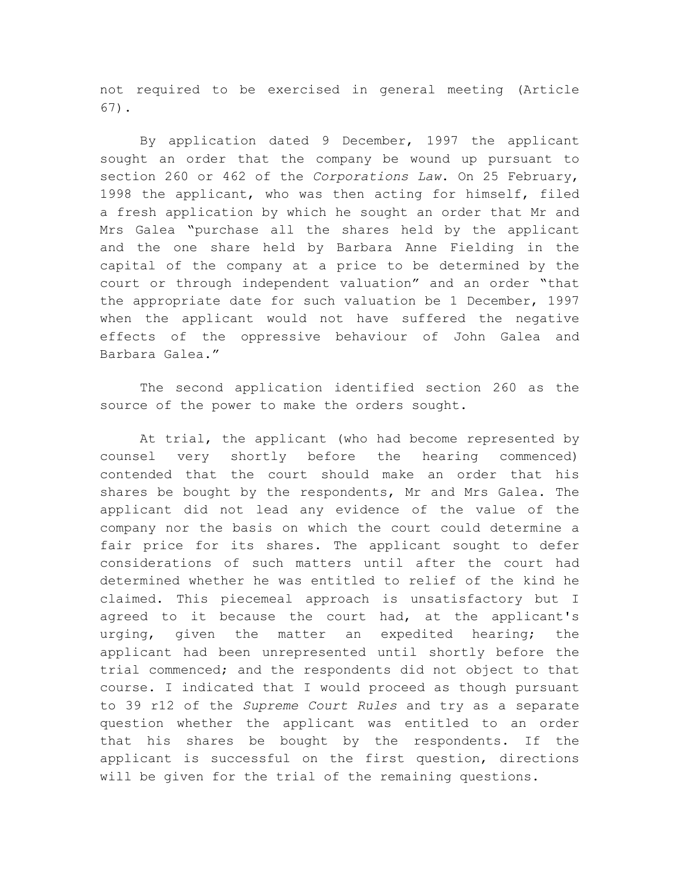not required to be exercised in general meeting (Article 67).

By application dated 9 December, 1997 the applicant sought an order that the company be wound up pursuant to section 260 or 462 of the *Corporations Law*. On 25 February, 1998 the applicant, who was then acting for himself, filed a fresh application by which he sought an order that Mr and Mrs Galea "purchase all the shares held by the applicant and the one share held by Barbara Anne Fielding in the capital of the company at a price to be determined by the court or through independent valuation" and an order "that the appropriate date for such valuation be 1 December, 1997 when the applicant would not have suffered the negative effects of the oppressive behaviour of John Galea and Barbara Galea."

The second application identified section 260 as the source of the power to make the orders sought.

At trial, the applicant (who had become represented by counsel very shortly before the hearing commenced) contended that the court should make an order that his shares be bought by the respondents, Mr and Mrs Galea. The applicant did not lead any evidence of the value of the company nor the basis on which the court could determine a fair price for its shares. The applicant sought to defer considerations of such matters until after the court had determined whether he was entitled to relief of the kind he claimed. This piecemeal approach is unsatisfactory but I agreed to it because the court had, at the applicant's urging, given the matter an expedited hearing; the applicant had been unrepresented until shortly before the trial commenced; and the respondents did not object to that course. I indicated that I would proceed as though pursuant to 39 r12 of the *Supreme Court Rules* and try as a separate question whether the applicant was entitled to an order that his shares be bought by the respondents. If the applicant is successful on the first question, directions will be given for the trial of the remaining questions.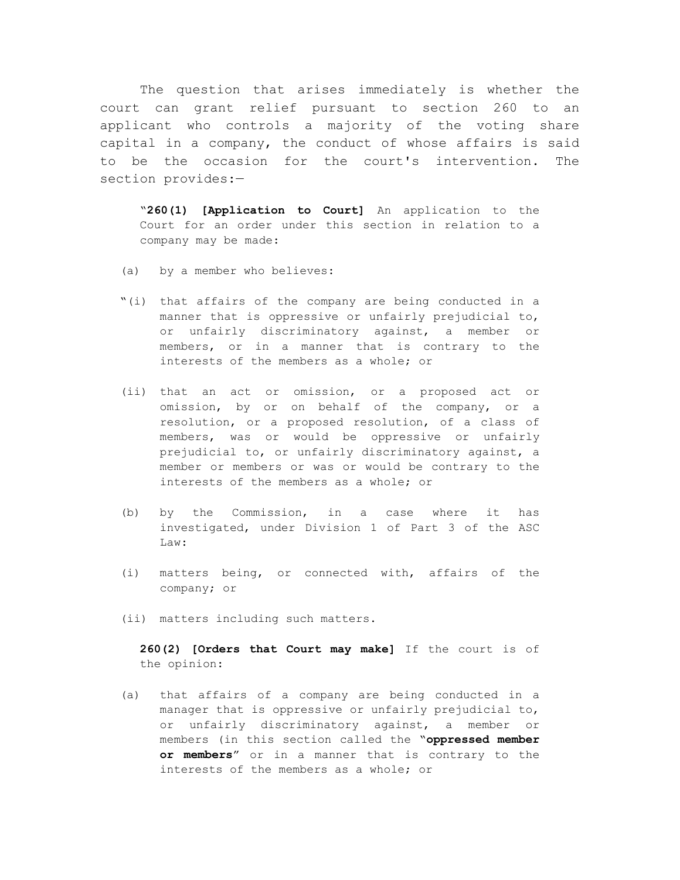The question that arises immediately is whether the court can grant relief pursuant to section 260 to an applicant who controls a majority of the voting share capital in a company, the conduct of whose affairs is said to be the occasion for the court's intervention. The section provides:—

"**260(1) [Application to Court]** An application to the Court for an order under this section in relation to a company may be made:

- (a) by a member who believes:
- "(i) that affairs of the company are being conducted in a manner that is oppressive or unfairly prejudicial to, or unfairly discriminatory against, a member or members, or in a manner that is contrary to the interests of the members as a whole; or
- (ii) that an act or omission, or a proposed act or omission, by or on behalf of the company, or a resolution, or a proposed resolution, of a class of members, was or would be oppressive or unfairly prejudicial to, or unfairly discriminatory against, a member or members or was or would be contrary to the interests of the members as a whole; or
- (b) by the Commission, in a case where it has investigated, under Division 1 of Part 3 of the ASC Law:
- (i) matters being, or connected with, affairs of the company; or
- (ii) matters including such matters.

**260(2) [Orders that Court may make]** If the court is of the opinion:

(a) that affairs of a company are being conducted in a manager that is oppressive or unfairly prejudicial to, or unfairly discriminatory against, a member or members (in this section called the "**oppressed member or members**" or in a manner that is contrary to the interests of the members as a whole; or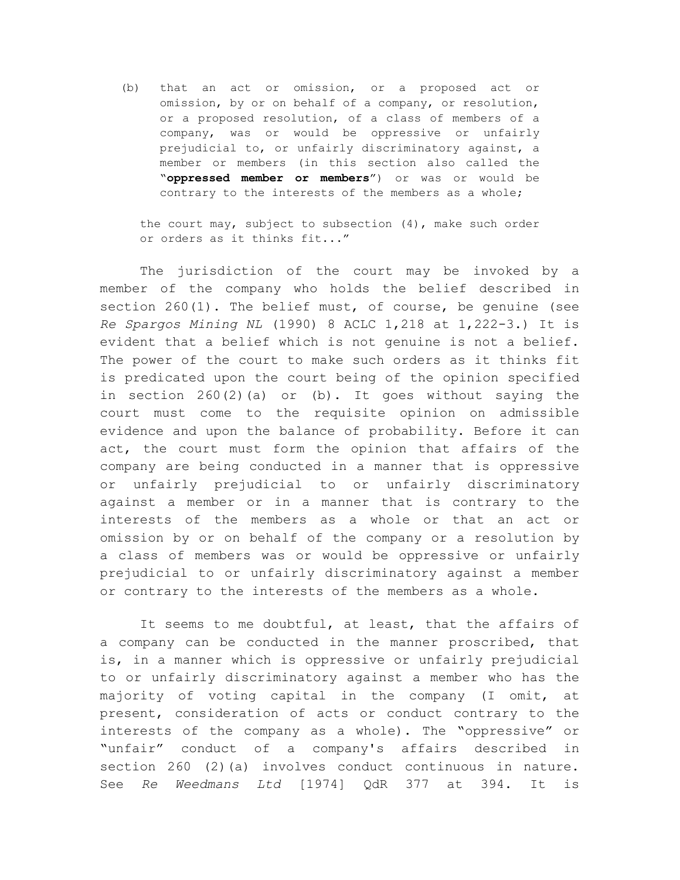(b) that an act or omission, or a proposed act or omission, by or on behalf of a company, or resolution, or a proposed resolution, of a class of members of a company, was or would be oppressive or unfairly prejudicial to, or unfairly discriminatory against, a member or members (in this section also called the "**oppressed member or members**") or was or would be contrary to the interests of the members as a whole;

the court may, subject to subsection (4), make such order or orders as it thinks fit..."

The jurisdiction of the court may be invoked by a member of the company who holds the belief described in section 260(1). The belief must, of course, be genuine (see *Re Spargos Mining NL* (1990) 8 ACLC 1,218 at 1,222-3.) It is evident that a belief which is not genuine is not a belief. The power of the court to make such orders as it thinks fit is predicated upon the court being of the opinion specified in section  $260(2)(a)$  or (b). It goes without saying the court must come to the requisite opinion on admissible evidence and upon the balance of probability. Before it can act, the court must form the opinion that affairs of the company are being conducted in a manner that is oppressive or unfairly prejudicial to or unfairly discriminatory against a member or in a manner that is contrary to the interests of the members as a whole or that an act or omission by or on behalf of the company or a resolution by a class of members was or would be oppressive or unfairly prejudicial to or unfairly discriminatory against a member or contrary to the interests of the members as a whole.

It seems to me doubtful, at least, that the affairs of a company can be conducted in the manner proscribed, that is, in a manner which is oppressive or unfairly prejudicial to or unfairly discriminatory against a member who has the majority of voting capital in the company (I omit, at present, consideration of acts or conduct contrary to the interests of the company as a whole). The "oppressive" or "unfair" conduct of a company's affairs described in section 260 (2)(a) involves conduct continuous in nature. See *Re Weedmans Ltd* [1974] QdR 377 at 394. It is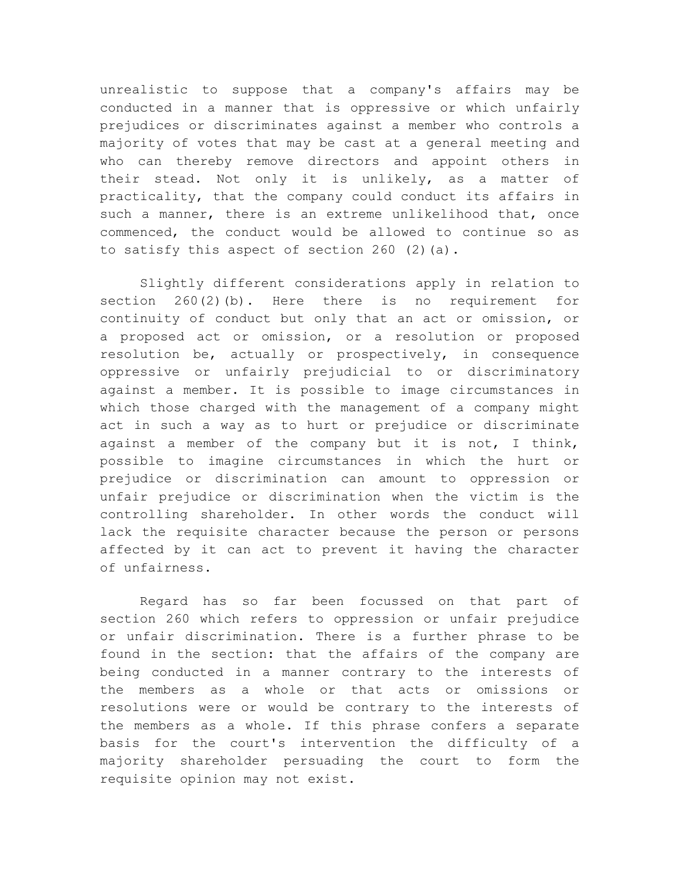unrealistic to suppose that a company's affairs may be conducted in a manner that is oppressive or which unfairly prejudices or discriminates against a member who controls a majority of votes that may be cast at a general meeting and who can thereby remove directors and appoint others in their stead. Not only it is unlikely, as a matter of practicality, that the company could conduct its affairs in such a manner, there is an extreme unlikelihood that, once commenced, the conduct would be allowed to continue so as to satisfy this aspect of section 260 (2)(a).

Slightly different considerations apply in relation to section 260(2)(b). Here there is no requirement for continuity of conduct but only that an act or omission, or a proposed act or omission, or a resolution or proposed resolution be, actually or prospectively, in consequence oppressive or unfairly prejudicial to or discriminatory against a member. It is possible to image circumstances in which those charged with the management of a company might act in such a way as to hurt or prejudice or discriminate against a member of the company but it is not, I think, possible to imagine circumstances in which the hurt or prejudice or discrimination can amount to oppression or unfair prejudice or discrimination when the victim is the controlling shareholder. In other words the conduct will lack the requisite character because the person or persons affected by it can act to prevent it having the character of unfairness.

Regard has so far been focussed on that part of section 260 which refers to oppression or unfair prejudice or unfair discrimination. There is a further phrase to be found in the section: that the affairs of the company are being conducted in a manner contrary to the interests of the members as a whole or that acts or omissions or resolutions were or would be contrary to the interests of the members as a whole. If this phrase confers a separate basis for the court's intervention the difficulty of a majority shareholder persuading the court to form the requisite opinion may not exist.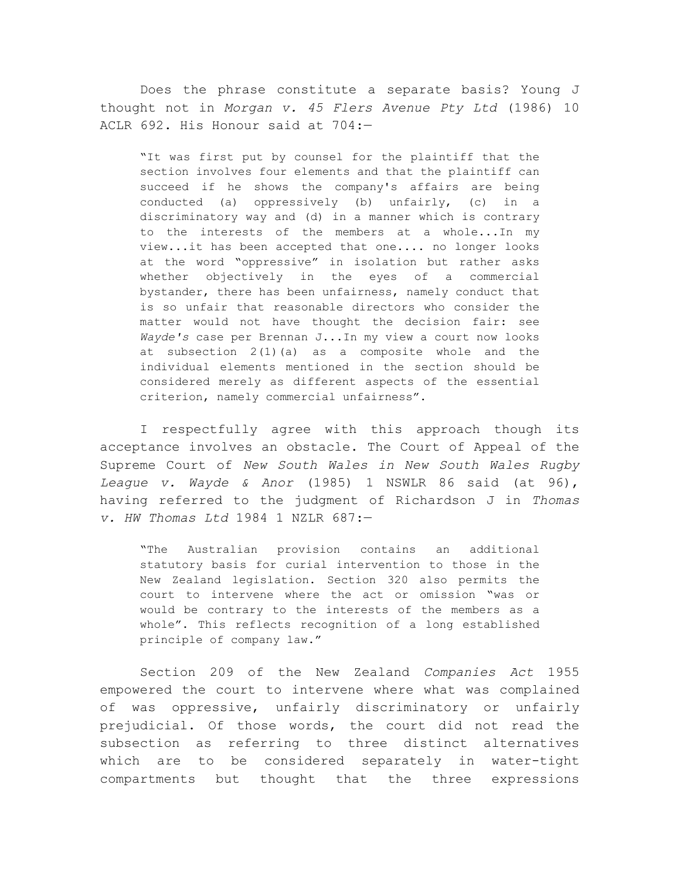Does the phrase constitute a separate basis? Young J thought not in *Morgan v. 45 Flers Avenue Pty Ltd* (1986) 10 ACLR 692. His Honour said at 704:—

"It was first put by counsel for the plaintiff that the section involves four elements and that the plaintiff can succeed if he shows the company's affairs are being conducted (a) oppressively (b) unfairly, (c) in a discriminatory way and (d) in a manner which is contrary to the interests of the members at a whole...In my view...it has been accepted that one.... no longer looks at the word "oppressive" in isolation but rather asks whether objectively in the eyes of a commercial bystander, there has been unfairness, namely conduct that is so unfair that reasonable directors who consider the matter would not have thought the decision fair: see *Wayde's* case per Brennan J...In my view a court now looks at subsection 2(1)(a) as a composite whole and the individual elements mentioned in the section should be considered merely as different aspects of the essential criterion, namely commercial unfairness".

I respectfully agree with this approach though its acceptance involves an obstacle. The Court of Appeal of the Supreme Court of *New South Wales in New South Wales Rugby League v. Wayde & Anor* (1985) 1 NSWLR 86 said (at 96), having referred to the judgment of Richardson J in *Thomas v. HW Thomas Ltd* 1984 1 NZLR 687:—

"The Australian provision contains an additional statutory basis for curial intervention to those in the New Zealand legislation. Section 320 also permits the court to intervene where the act or omission "was or would be contrary to the interests of the members as a whole". This reflects recognition of a long established principle of company law."

Section 209 of the New Zealand *Companies Act* 1955 empowered the court to intervene where what was complained of was oppressive, unfairly discriminatory or unfairly prejudicial. Of those words, the court did not read the subsection as referring to three distinct alternatives which are to be considered separately in water-tight compartments but thought that the three expressions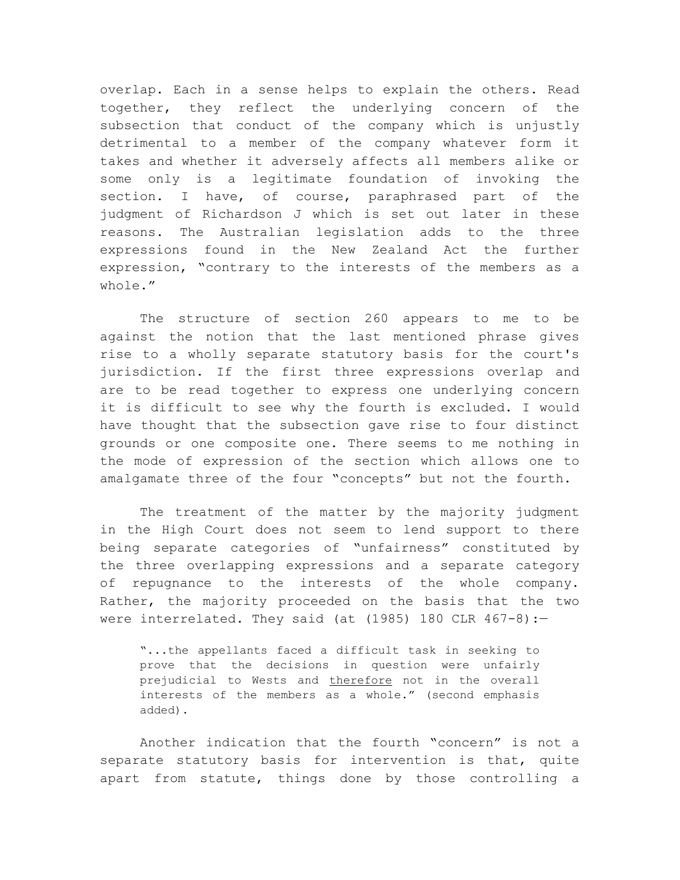overlap. Each in a sense helps to explain the others. Read together, they reflect the underlying concern of the subsection that conduct of the company which is unjustly detrimental to a member of the company whatever form it takes and whether it adversely affects all members alike or some only is a legitimate foundation of invoking the section. I have, of course, paraphrased part of the judgment of Richardson J which is set out later in these reasons. The Australian legislation adds to the three expressions found in the New Zealand Act the further expression, "contrary to the interests of the members as a whole."

The structure of section 260 appears to me to be against the notion that the last mentioned phrase gives rise to a wholly separate statutory basis for the court's jurisdiction. If the first three expressions overlap and are to be read together to express one underlying concern it is difficult to see why the fourth is excluded. I would have thought that the subsection gave rise to four distinct grounds or one composite one. There seems to me nothing in the mode of expression of the section which allows one to amalgamate three of the four "concepts" but not the fourth.

The treatment of the matter by the majority judgment in the High Court does not seem to lend support to there being separate categories of "unfairness" constituted by the three overlapping expressions and a separate category of repugnance to the interests of the whole company. Rather, the majority proceeded on the basis that the two were interrelated. They said (at  $(1985)$  180 CLR  $467-8$ ):-

"...the appellants faced a difficult task in seeking to prove that the decisions in question were unfairly prejudicial to Wests and therefore not in the overall interests of the members as a whole." (second emphasis added).

Another indication that the fourth "concern" is not a separate statutory basis for intervention is that, quite apart from statute, things done by those controlling a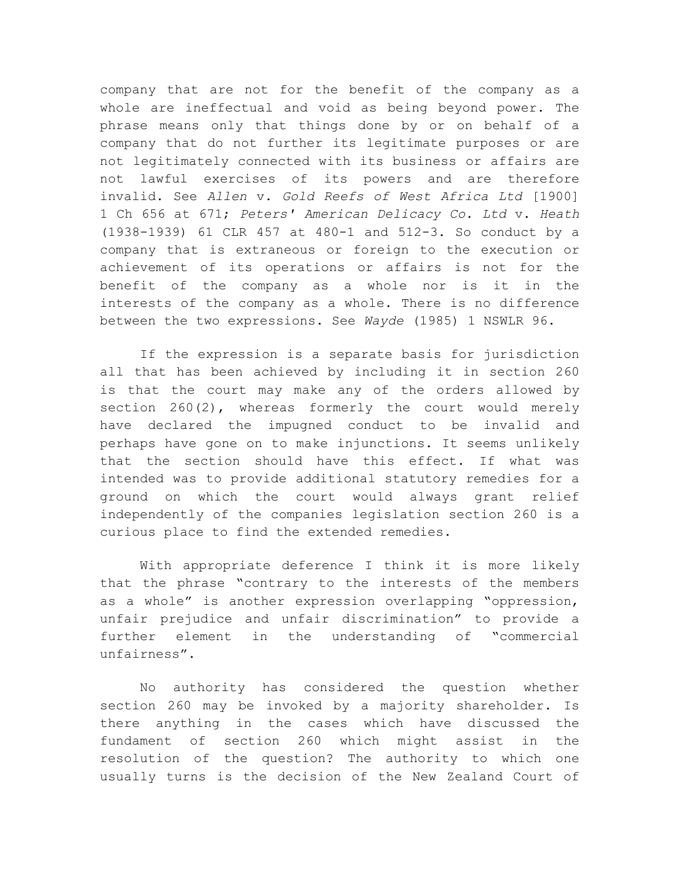company that are not for the benefit of the company as a whole are ineffectual and void as being beyond power. The phrase means only that things done by or on behalf of a company that do not further its legitimate purposes or are not legitimately connected with its business or affairs are not lawful exercises of its powers and are therefore invalid. See *Allen* v. *Gold Reefs of West Africa Ltd* [1900] 1 Ch 656 at 671; *Peters' American Delicacy Co. Ltd* v. *Heath* (1938-1939) 61 CLR 457 at 480-1 and 512-3. So conduct by a company that is extraneous or foreign to the execution or achievement of its operations or affairs is not for the benefit of the company as a whole nor is it in the interests of the company as a whole. There is no difference between the two expressions. See *Wayde* (1985) 1 NSWLR 96.

If the expression is a separate basis for jurisdiction all that has been achieved by including it in section 260 is that the court may make any of the orders allowed by section  $260(2)$ , whereas formerly the court would merely have declared the impugned conduct to be invalid and perhaps have gone on to make injunctions. It seems unlikely that the section should have this effect. If what was intended was to provide additional statutory remedies for a ground on which the court would always grant relief independently of the companies legislation section 260 is a curious place to find the extended remedies.

With appropriate deference I think it is more likely that the phrase "contrary to the interests of the members as a whole" is another expression overlapping "oppression, unfair prejudice and unfair discrimination" to provide a further element in the understanding of "commercial unfairness".

No authority has considered the question whether section 260 may be invoked by a majority shareholder. Is there anything in the cases which have discussed the fundament of section 260 which might assist in the resolution of the question? The authority to which one usually turns is the decision of the New Zealand Court of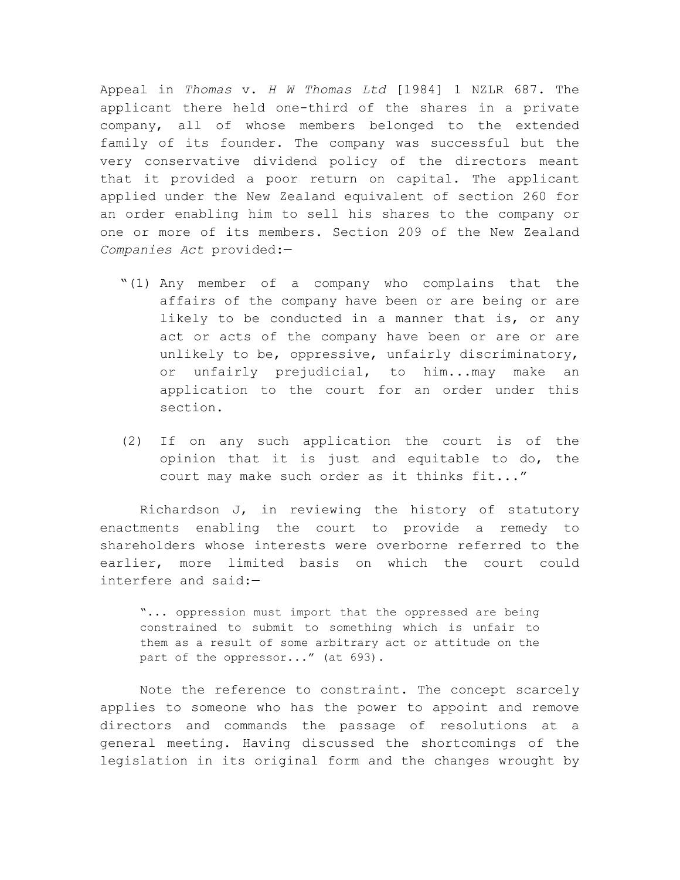Appeal in *Thomas* v. *H W Thomas Ltd* [1984] 1 NZLR 687. The applicant there held one-third of the shares in a private company, all of whose members belonged to the extended family of its founder. The company was successful but the very conservative dividend policy of the directors meant that it provided a poor return on capital. The applicant applied under the New Zealand equivalent of section 260 for an order enabling him to sell his shares to the company or one or more of its members. Section 209 of the New Zealand *Companies Act* provided:—

- "(1) Any member of a company who complains that the affairs of the company have been or are being or are likely to be conducted in a manner that is, or any act or acts of the company have been or are or are unlikely to be, oppressive, unfairly discriminatory, or unfairly prejudicial, to him...may make an application to the court for an order under this section.
- (2) If on any such application the court is of the opinion that it is just and equitable to do, the court may make such order as it thinks fit..."

Richardson J, in reviewing the history of statutory enactments enabling the court to provide a remedy to shareholders whose interests were overborne referred to the earlier, more limited basis on which the court could interfere and said:—

"... oppression must import that the oppressed are being constrained to submit to something which is unfair to them as a result of some arbitrary act or attitude on the part of the oppressor..." (at 693).

Note the reference to constraint. The concept scarcely applies to someone who has the power to appoint and remove directors and commands the passage of resolutions at a general meeting. Having discussed the shortcomings of the legislation in its original form and the changes wrought by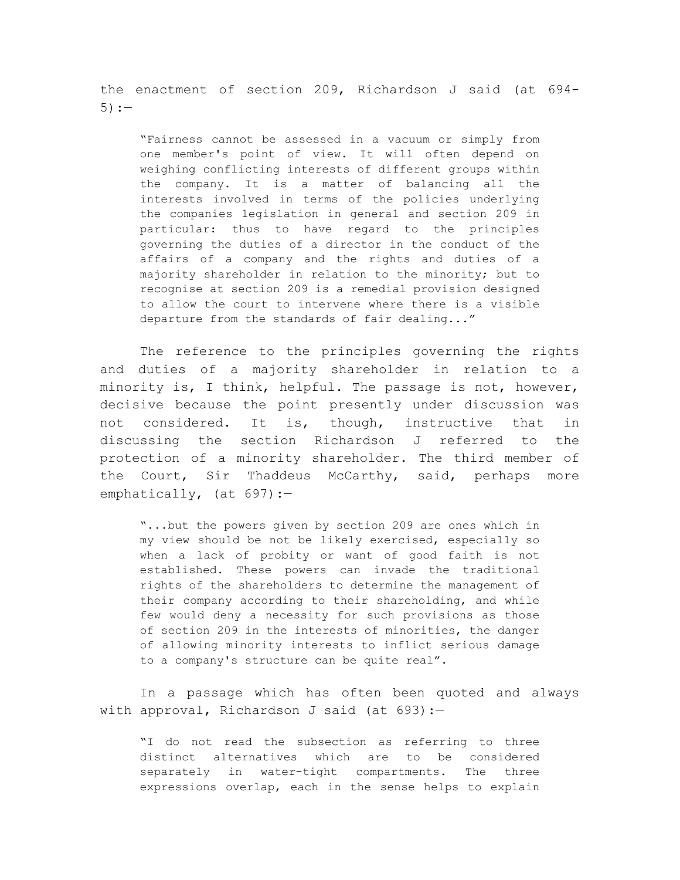the enactment of section 209, Richardson J said (at 694-  $5) :=$ 

"Fairness cannot be assessed in a vacuum or simply from one member's point of view. It will often depend on weighing conflicting interests of different groups within the company. It is a matter of balancing all the interests involved in terms of the policies underlying the companies legislation in general and section 209 in particular: thus to have regard to the principles governing the duties of a director in the conduct of the affairs of a company and the rights and duties of a majority shareholder in relation to the minority; but to recognise at section 209 is a remedial provision designed to allow the court to intervene where there is a visible departure from the standards of fair dealing..."

The reference to the principles governing the rights and duties of a majority shareholder in relation to a minority is, I think, helpful. The passage is not, however, decisive because the point presently under discussion was not considered. It is, though, instructive that in discussing the section Richardson J referred to the protection of a minority shareholder. The third member of the Court, Sir Thaddeus McCarthy, said, perhaps more emphatically, (at 697):-

"...but the powers given by section 209 are ones which in my view should be not be likely exercised, especially so when a lack of probity or want of good faith is not established. These powers can invade the traditional rights of the shareholders to determine the management of their company according to their shareholding, and while few would deny a necessity for such provisions as those of section 209 in the interests of minorities, the danger of allowing minority interests to inflict serious damage to a company's structure can be quite real".

In a passage which has often been quoted and always with approval, Richardson J said (at 693):-

"I do not read the subsection as referring to three distinct alternatives which are to be considered separately in water-tight compartments. The three expressions overlap, each in the sense helps to explain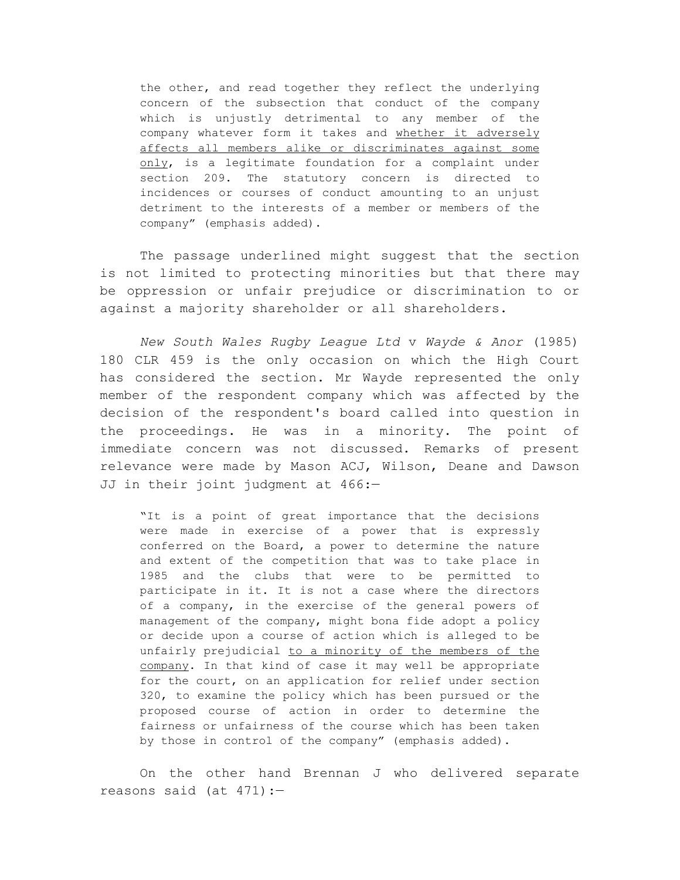the other, and read together they reflect the underlying concern of the subsection that conduct of the company which is unjustly detrimental to any member of the company whatever form it takes and whether it adversely affects all members alike or discriminates against some only, is a legitimate foundation for a complaint under section 209. The statutory concern is directed to incidences or courses of conduct amounting to an unjust detriment to the interests of a member or members of the company" (emphasis added).

The passage underlined might suggest that the section is not limited to protecting minorities but that there may be oppression or unfair prejudice or discrimination to or against a majority shareholder or all shareholders.

*New South Wales Rugby League Ltd* v *Wayde & Anor* (1985) 180 CLR 459 is the only occasion on which the High Court has considered the section. Mr Wayde represented the only member of the respondent company which was affected by the decision of the respondent's board called into question in the proceedings. He was in a minority. The point of immediate concern was not discussed. Remarks of present relevance were made by Mason ACJ, Wilson, Deane and Dawson JJ in their joint judgment at 466:—

"It is a point of great importance that the decisions were made in exercise of a power that is expressly conferred on the Board, a power to determine the nature and extent of the competition that was to take place in 1985 and the clubs that were to be permitted to participate in it. It is not a case where the directors of a company, in the exercise of the general powers of management of the company, might bona fide adopt a policy or decide upon a course of action which is alleged to be unfairly prejudicial to a minority of the members of the company. In that kind of case it may well be appropriate for the court, on an application for relief under section 320, to examine the policy which has been pursued or the proposed course of action in order to determine the fairness or unfairness of the course which has been taken by those in control of the company" (emphasis added).

On the other hand Brennan J who delivered separate reasons said (at 471):—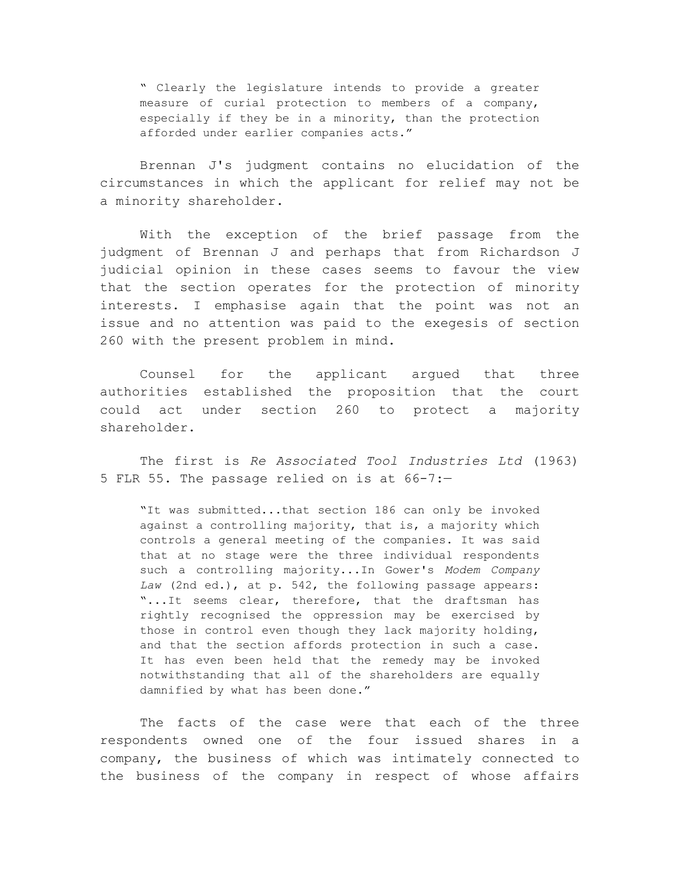" Clearly the legislature intends to provide a greater measure of curial protection to members of a company, especially if they be in a minority, than the protection afforded under earlier companies acts."

Brennan J's judgment contains no elucidation of the circumstances in which the applicant for relief may not be a minority shareholder.

With the exception of the brief passage from the judgment of Brennan J and perhaps that from Richardson J judicial opinion in these cases seems to favour the view that the section operates for the protection of minority interests. I emphasise again that the point was not an issue and no attention was paid to the exegesis of section 260 with the present problem in mind.

Counsel for the applicant argued that three authorities established the proposition that the court could act under section 260 to protect a majority shareholder.

The first is *Re Associated Tool Industries Ltd* (1963) 5 FLR 55. The passage relied on is at 66-7:—

"It was submitted...that section 186 can only be invoked against a controlling majority, that is, a majority which controls a general meeting of the companies. It was said that at no stage were the three individual respondents such a controlling majority...In Gower's *Modem Company Law* (2nd ed.), at p. 542, the following passage appears: "...It seems clear, therefore, that the draftsman has rightly recognised the oppression may be exercised by those in control even though they lack majority holding, and that the section affords protection in such a case. It has even been held that the remedy may be invoked notwithstanding that all of the shareholders are equally damnified by what has been done."

The facts of the case were that each of the three respondents owned one of the four issued shares in a company, the business of which was intimately connected to the business of the company in respect of whose affairs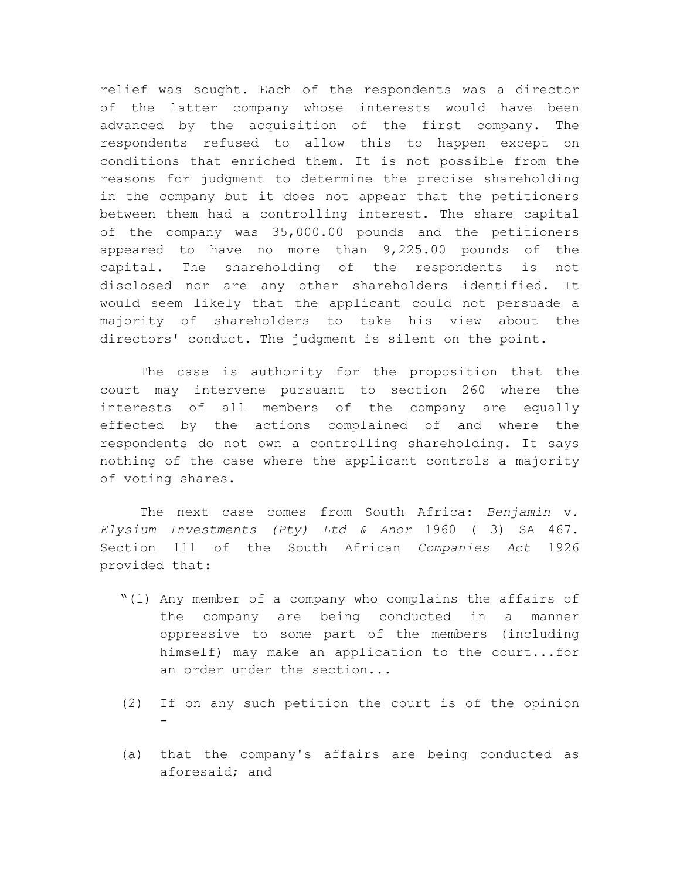relief was sought. Each of the respondents was a director of the latter company whose interests would have been advanced by the acquisition of the first company. The respondents refused to allow this to happen except on conditions that enriched them. It is not possible from the reasons for judgment to determine the precise shareholding in the company but it does not appear that the petitioners between them had a controlling interest. The share capital of the company was 35,000.00 pounds and the petitioners appeared to have no more than 9,225.00 pounds of the capital. The shareholding of the respondents is not disclosed nor are any other shareholders identified. It would seem likely that the applicant could not persuade a majority of shareholders to take his view about the directors' conduct. The judgment is silent on the point.

The case is authority for the proposition that the court may intervene pursuant to section 260 where the interests of all members of the company are equally effected by the actions complained of and where the respondents do not own a controlling shareholding. It says nothing of the case where the applicant controls a majority of voting shares.

The next case comes from South Africa: *Benjamin* v. *Elysium Investments (Pty) Ltd & Anor* 1960 ( 3) SA 467. Section 111 of the South African *Companies Act* 1926 provided that:

- "(1) Any member of a company who complains the affairs of the company are being conducted in a manner oppressive to some part of the members (including himself) may make an application to the court...for an order under the section...
- (2) If on any such petition the court is of the opinion -
- (a) that the company's affairs are being conducted as aforesaid; and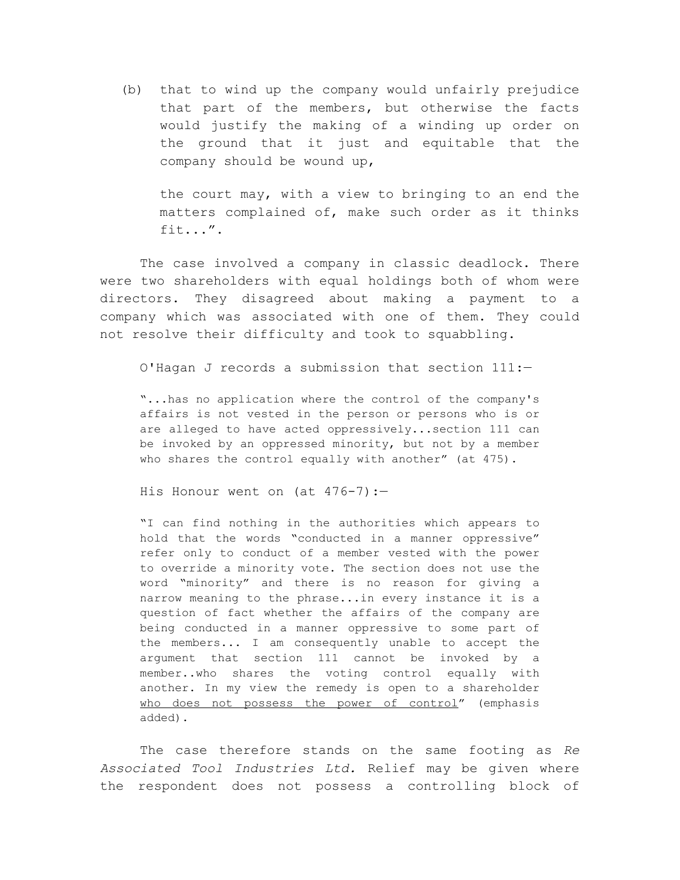(b) that to wind up the company would unfairly prejudice that part of the members, but otherwise the facts would justify the making of a winding up order on the ground that it just and equitable that the company should be wound up,

the court may, with a view to bringing to an end the matters complained of, make such order as it thinks fit...".

The case involved a company in classic deadlock. There were two shareholders with equal holdings both of whom were directors. They disagreed about making a payment to a company which was associated with one of them. They could not resolve their difficulty and took to squabbling.

O'Hagan J records a submission that section 111:—

"...has no application where the control of the company's affairs is not vested in the person or persons who is or are alleged to have acted oppressively...section 111 can be invoked by an oppressed minority, but not by a member who shares the control equally with another" (at 475).

His Honour went on (at  $476-7$ ):-

"I can find nothing in the authorities which appears to hold that the words "conducted in a manner oppressive" refer only to conduct of a member vested with the power to override a minority vote. The section does not use the word "minority" and there is no reason for giving a narrow meaning to the phrase...in every instance it is a question of fact whether the affairs of the company are being conducted in a manner oppressive to some part of the members... I am consequently unable to accept the argument that section 111 cannot be invoked by a member..who shares the voting control equally with another. In my view the remedy is open to a shareholder who does not possess the power of control" (emphasis added).

The case therefore stands on the same footing as *Re Associated Tool Industries Ltd.* Relief may be given where the respondent does not possess a controlling block of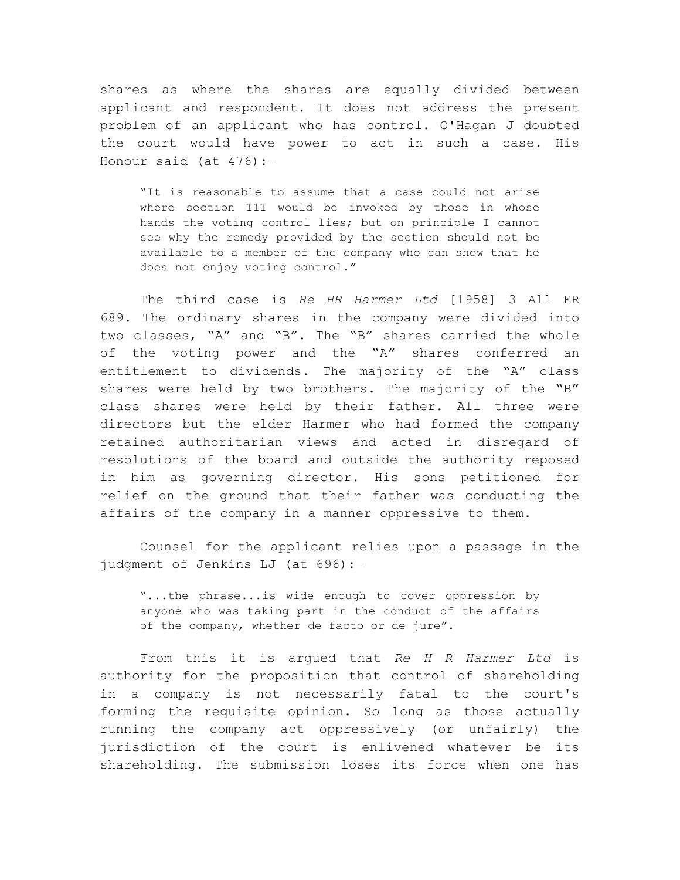shares as where the shares are equally divided between applicant and respondent. It does not address the present problem of an applicant who has control. O'Hagan J doubted the court would have power to act in such a case. His Honour said (at  $476$ ):-

"It is reasonable to assume that a case could not arise where section 111 would be invoked by those in whose hands the voting control lies; but on principle I cannot see why the remedy provided by the section should not be available to a member of the company who can show that he does not enjoy voting control."

The third case is *Re HR Harmer Ltd* [1958] 3 All ER 689. The ordinary shares in the company were divided into two classes, "A" and "B". The "B" shares carried the whole of the voting power and the "A" shares conferred an entitlement to dividends. The majority of the "A" class shares were held by two brothers. The majority of the "B" class shares were held by their father. All three were directors but the elder Harmer who had formed the company retained authoritarian views and acted in disregard of resolutions of the board and outside the authority reposed in him as governing director. His sons petitioned for relief on the ground that their father was conducting the affairs of the company in a manner oppressive to them.

Counsel for the applicant relies upon a passage in the judgment of Jenkins LJ (at 696):—

"...the phrase...is wide enough to cover oppression by anyone who was taking part in the conduct of the affairs of the company, whether de facto or de jure".

From this it is argued that *Re H R Harmer Ltd* is authority for the proposition that control of shareholding in a company is not necessarily fatal to the court's forming the requisite opinion. So long as those actually running the company act oppressively (or unfairly) the jurisdiction of the court is enlivened whatever be its shareholding. The submission loses its force when one has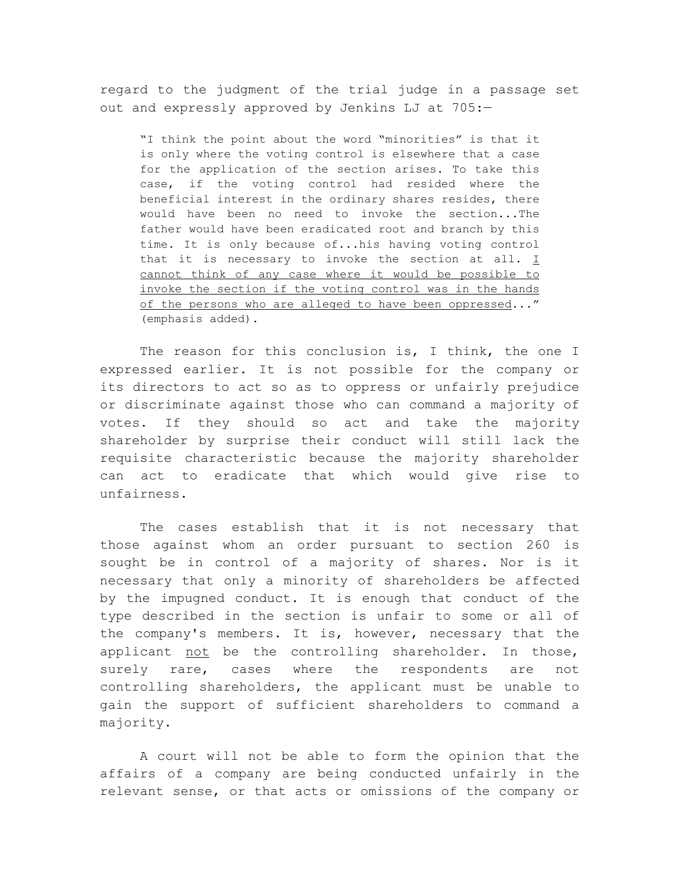regard to the judgment of the trial judge in a passage set out and expressly approved by Jenkins LJ at 705:—

"I think the point about the word "minorities" is that it is only where the voting control is elsewhere that a case for the application of the section arises. To take this case, if the voting control had resided where the beneficial interest in the ordinary shares resides, there would have been no need to invoke the section...The father would have been eradicated root and branch by this time. It is only because of...his having voting control that it is necessary to invoke the section at all.  $I$ cannot think of any case where it would be possible to invoke the section if the voting control was in the hands of the persons who are alleged to have been oppressed..." (emphasis added).

The reason for this conclusion is, I think, the one I expressed earlier. It is not possible for the company or its directors to act so as to oppress or unfairly prejudice or discriminate against those who can command a majority of votes. If they should so act and take the majority shareholder by surprise their conduct will still lack the requisite characteristic because the majority shareholder can act to eradicate that which would give rise to unfairness.

The cases establish that it is not necessary that those against whom an order pursuant to section 260 is sought be in control of a majority of shares. Nor is it necessary that only a minority of shareholders be affected by the impugned conduct. It is enough that conduct of the type described in the section is unfair to some or all of the company's members. It is, however, necessary that the applicant not be the controlling shareholder. In those, surely rare, cases where the respondents are not controlling shareholders, the applicant must be unable to gain the support of sufficient shareholders to command a majority.

A court will not be able to form the opinion that the affairs of a company are being conducted unfairly in the relevant sense, or that acts or omissions of the company or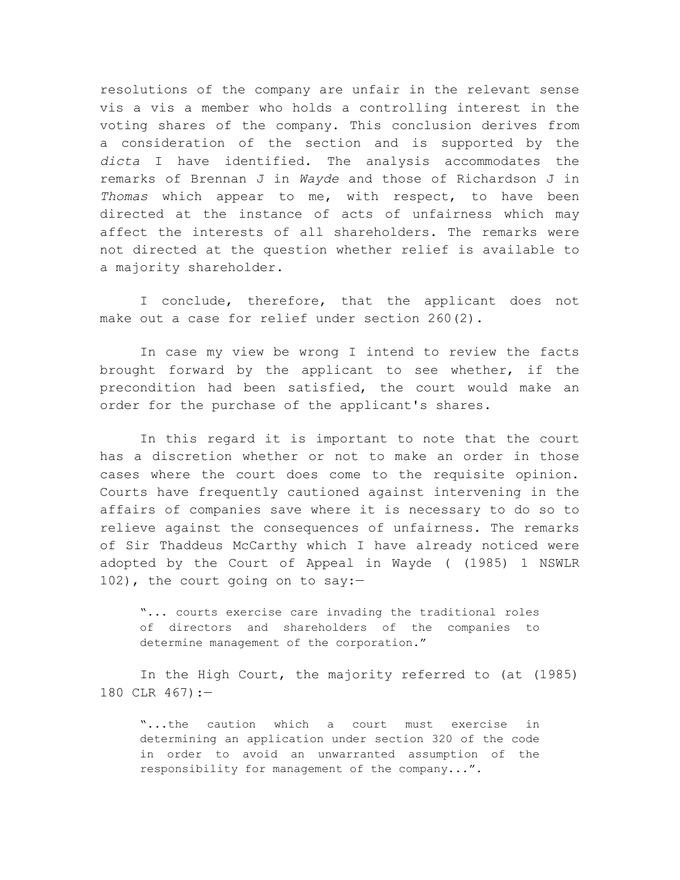resolutions of the company are unfair in the relevant sense vis a vis a member who holds a controlling interest in the voting shares of the company. This conclusion derives from a consideration of the section and is supported by the *dicta* I have identified. The analysis accommodates the remarks of Brennan J in *Wayde* and those of Richardson J in *Thomas* which appear to me, with respect, to have been directed at the instance of acts of unfairness which may affect the interests of all shareholders. The remarks were not directed at the question whether relief is available to a majority shareholder.

I conclude, therefore, that the applicant does not make out a case for relief under section 260(2).

In case my view be wrong I intend to review the facts brought forward by the applicant to see whether, if the precondition had been satisfied, the court would make an order for the purchase of the applicant's shares.

In this regard it is important to note that the court has a discretion whether or not to make an order in those cases where the court does come to the requisite opinion. Courts have frequently cautioned against intervening in the affairs of companies save where it is necessary to do so to relieve against the consequences of unfairness. The remarks of Sir Thaddeus McCarthy which I have already noticed were adopted by the Court of Appeal in Wayde ( (1985) 1 NSWLR 102), the court going on to say:—

"... courts exercise care invading the traditional roles of directors and shareholders of the companies to determine management of the corporation."

In the High Court, the majority referred to (at (1985) 180 CLR 467):—

"...the caution which a court must exercise in determining an application under section 320 of the code in order to avoid an unwarranted assumption of the responsibility for management of the company...".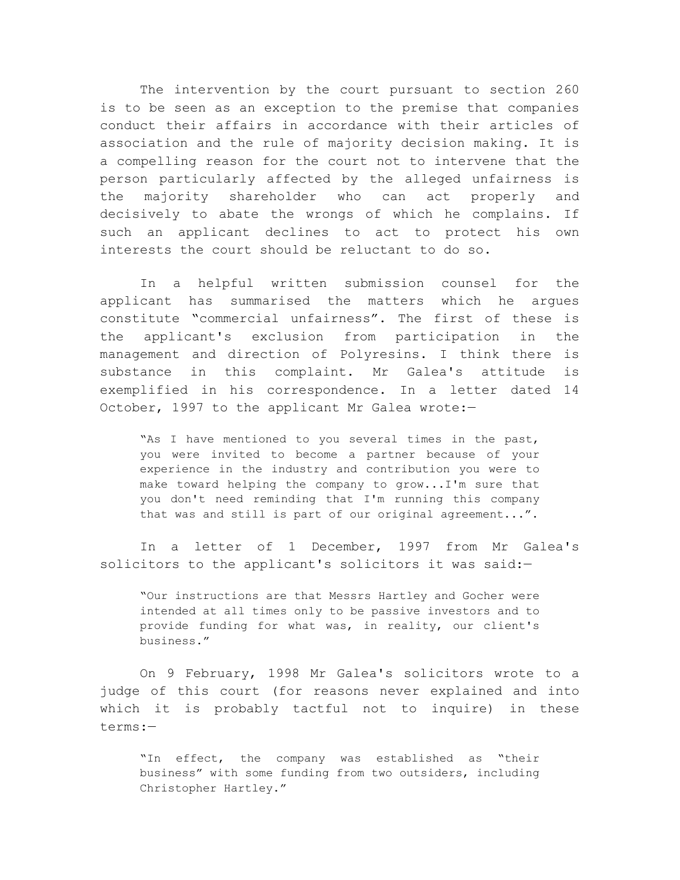The intervention by the court pursuant to section 260 is to be seen as an exception to the premise that companies conduct their affairs in accordance with their articles of association and the rule of majority decision making. It is a compelling reason for the court not to intervene that the person particularly affected by the alleged unfairness is the majority shareholder who can act properly and decisively to abate the wrongs of which he complains. If such an applicant declines to act to protect his own interests the court should be reluctant to do so.

In a helpful written submission counsel for the applicant has summarised the matters which he argues constitute "commercial unfairness". The first of these is the applicant's exclusion from participation in the management and direction of Polyresins. I think there is substance in this complaint. Mr Galea's attitude is exemplified in his correspondence. In a letter dated 14 October, 1997 to the applicant Mr Galea wrote:-

"As I have mentioned to you several times in the past, you were invited to become a partner because of your experience in the industry and contribution you were to make toward helping the company to grow...I'm sure that you don't need reminding that I'm running this company that was and still is part of our original agreement...".

In a letter of 1 December, 1997 from Mr Galea's solicitors to the applicant's solicitors it was said:-

"Our instructions are that Messrs Hartley and Gocher were intended at all times only to be passive investors and to provide funding for what was, in reality, our client's business."

On 9 February, 1998 Mr Galea's solicitors wrote to a judge of this court (for reasons never explained and into which it is probably tactful not to inquire) in these terms:—

"In effect, the company was established as "their business" with some funding from two outsiders, including Christopher Hartley."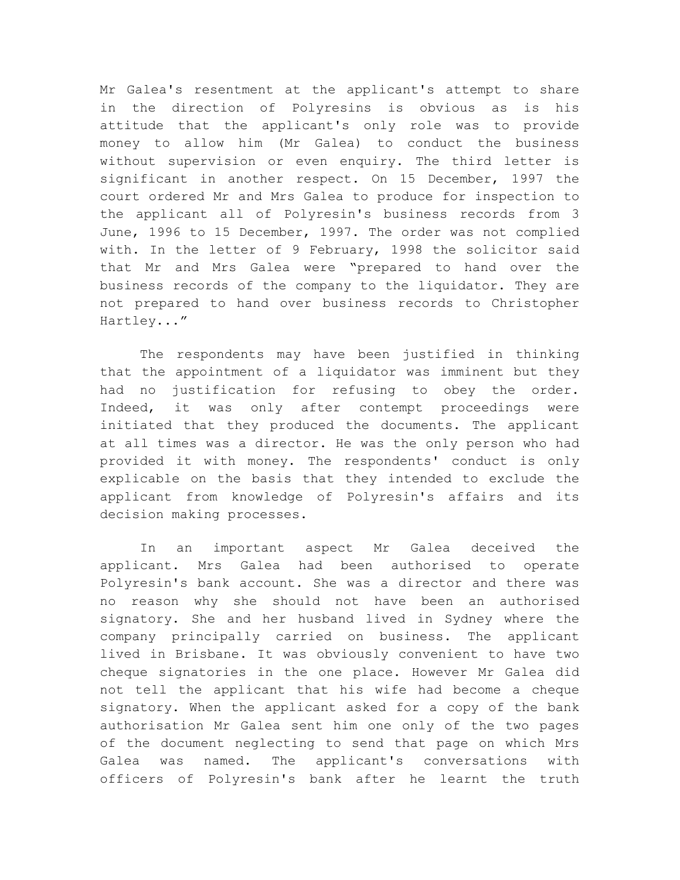Mr Galea's resentment at the applicant's attempt to share in the direction of Polyresins is obvious as is his attitude that the applicant's only role was to provide money to allow him (Mr Galea) to conduct the business without supervision or even enquiry. The third letter is significant in another respect. On 15 December, 1997 the court ordered Mr and Mrs Galea to produce for inspection to the applicant all of Polyresin's business records from 3 June, 1996 to 15 December, 1997. The order was not complied with. In the letter of 9 February, 1998 the solicitor said that Mr and Mrs Galea were "prepared to hand over the business records of the company to the liquidator. They are not prepared to hand over business records to Christopher Hartley..."

The respondents may have been justified in thinking that the appointment of a liquidator was imminent but they had no justification for refusing to obey the order. Indeed, it was only after contempt proceedings were initiated that they produced the documents. The applicant at all times was a director. He was the only person who had provided it with money. The respondents' conduct is only explicable on the basis that they intended to exclude the applicant from knowledge of Polyresin's affairs and its decision making processes.

In an important aspect Mr Galea deceived the applicant. Mrs Galea had been authorised to operate Polyresin's bank account. She was a director and there was no reason why she should not have been an authorised signatory. She and her husband lived in Sydney where the company principally carried on business. The applicant lived in Brisbane. It was obviously convenient to have two cheque signatories in the one place. However Mr Galea did not tell the applicant that his wife had become a cheque signatory. When the applicant asked for a copy of the bank authorisation Mr Galea sent him one only of the two pages of the document neglecting to send that page on which Mrs Galea was named. The applicant's conversations with officers of Polyresin's bank after he learnt the truth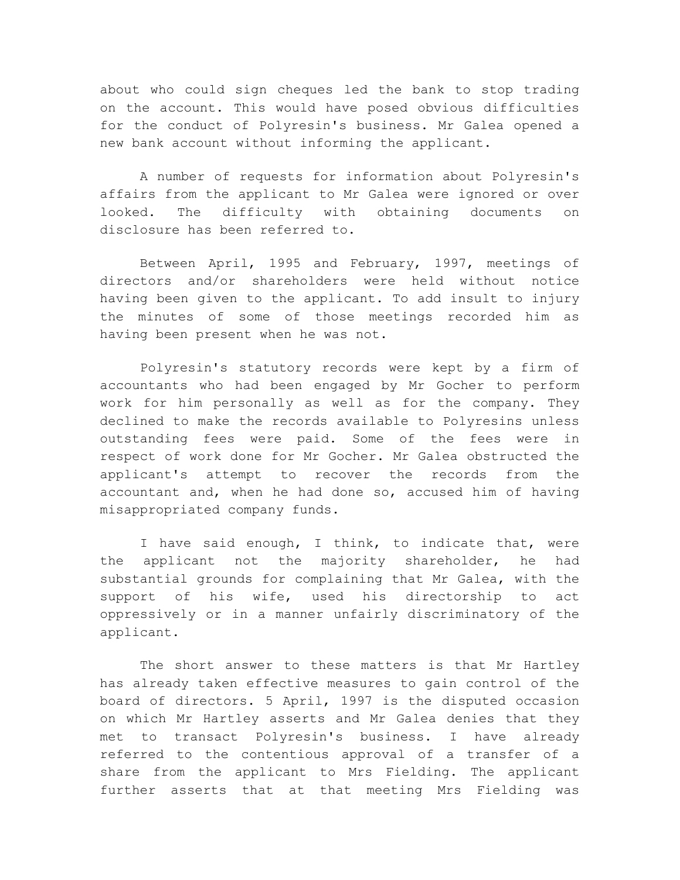about who could sign cheques led the bank to stop trading on the account. This would have posed obvious difficulties for the conduct of Polyresin's business. Mr Galea opened a new bank account without informing the applicant.

A number of requests for information about Polyresin's affairs from the applicant to Mr Galea were ignored or over looked. The difficulty with obtaining documents on disclosure has been referred to.

Between April, 1995 and February, 1997, meetings of directors and/or shareholders were held without notice having been given to the applicant. To add insult to injury the minutes of some of those meetings recorded him as having been present when he was not.

Polyresin's statutory records were kept by a firm of accountants who had been engaged by Mr Gocher to perform work for him personally as well as for the company. They declined to make the records available to Polyresins unless outstanding fees were paid. Some of the fees were in respect of work done for Mr Gocher. Mr Galea obstructed the applicant's attempt to recover the records from the accountant and, when he had done so, accused him of having misappropriated company funds.

I have said enough, I think, to indicate that, were the applicant not the majority shareholder, he had substantial grounds for complaining that Mr Galea, with the support of his wife, used his directorship to act oppressively or in a manner unfairly discriminatory of the applicant.

The short answer to these matters is that Mr Hartley has already taken effective measures to gain control of the board of directors. 5 April, 1997 is the disputed occasion on which Mr Hartley asserts and Mr Galea denies that they met to transact Polyresin's business. I have already referred to the contentious approval of a transfer of a share from the applicant to Mrs Fielding. The applicant further asserts that at that meeting Mrs Fielding was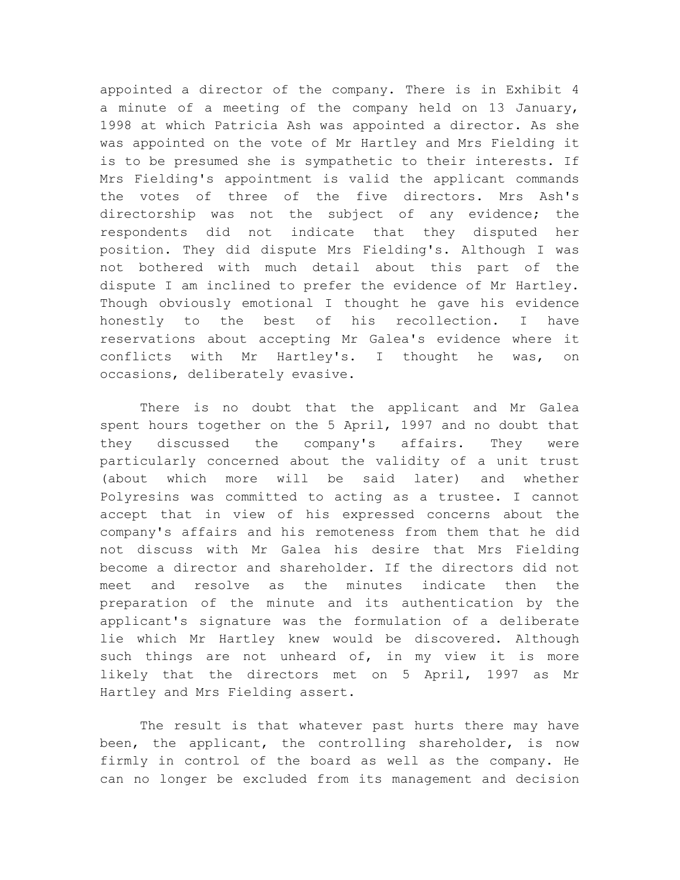appointed a director of the company. There is in Exhibit 4 a minute of a meeting of the company held on 13 January, 1998 at which Patricia Ash was appointed a director. As she was appointed on the vote of Mr Hartley and Mrs Fielding it is to be presumed she is sympathetic to their interests. If Mrs Fielding's appointment is valid the applicant commands the votes of three of the five directors. Mrs Ash's directorship was not the subject of any evidence; the respondents did not indicate that they disputed her position. They did dispute Mrs Fielding's. Although I was not bothered with much detail about this part of the dispute I am inclined to prefer the evidence of Mr Hartley. Though obviously emotional I thought he gave his evidence honestly to the best of his recollection. I have reservations about accepting Mr Galea's evidence where it conflicts with Mr Hartley's. I thought he was, on occasions, deliberately evasive.

There is no doubt that the applicant and Mr Galea spent hours together on the 5 April, 1997 and no doubt that they discussed the company's affairs. They were particularly concerned about the validity of a unit trust (about which more will be said later) and whether Polyresins was committed to acting as a trustee. I cannot accept that in view of his expressed concerns about the company's affairs and his remoteness from them that he did not discuss with Mr Galea his desire that Mrs Fielding become a director and shareholder. If the directors did not meet and resolve as the minutes indicate then the preparation of the minute and its authentication by the applicant's signature was the formulation of a deliberate lie which Mr Hartley knew would be discovered. Although such things are not unheard of, in my view it is more likely that the directors met on 5 April, 1997 as Mr Hartley and Mrs Fielding assert.

The result is that whatever past hurts there may have been, the applicant, the controlling shareholder, is now firmly in control of the board as well as the company. He can no longer be excluded from its management and decision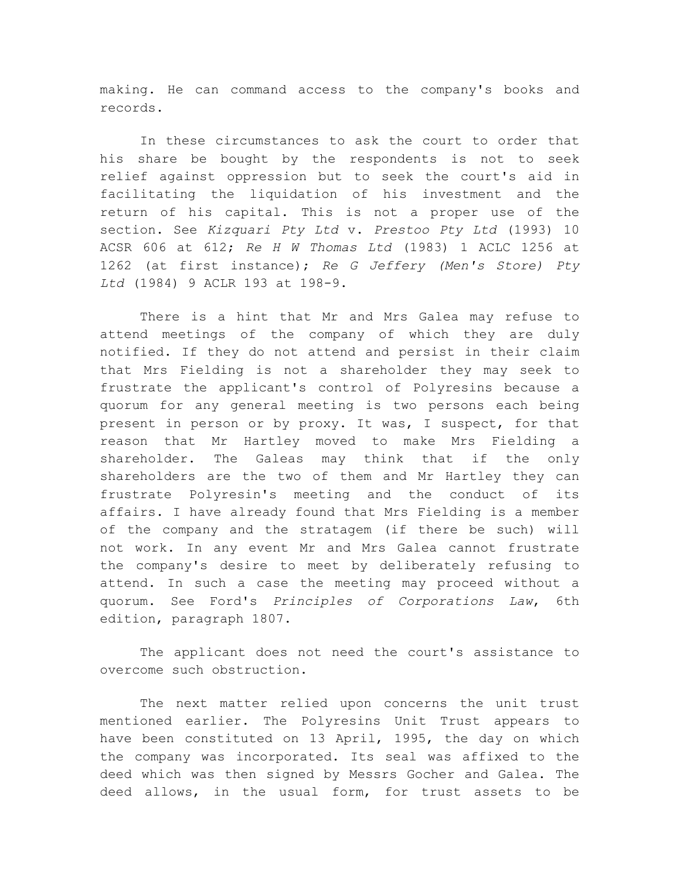making. He can command access to the company's books and records.

In these circumstances to ask the court to order that his share be bought by the respondents is not to seek relief against oppression but to seek the court's aid in facilitating the liquidation of his investment and the return of his capital. This is not a proper use of the section. See *Kizquari Pty Ltd* v. *Prestoo Pty Ltd* (1993) 10 ACSR 606 at 612; *Re H W Thomas Ltd* (1983) 1 ACLC 1256 at 1262 (at first instance); *Re G Jeffery (Men's Store) Pty Ltd* (1984) 9 ACLR 193 at 198-9.

There is a hint that Mr and Mrs Galea may refuse to attend meetings of the company of which they are duly notified. If they do not attend and persist in their claim that Mrs Fielding is not a shareholder they may seek to frustrate the applicant's control of Polyresins because a quorum for any general meeting is two persons each being present in person or by proxy. It was, I suspect, for that reason that Mr Hartley moved to make Mrs Fielding a shareholder. The Galeas may think that if the only shareholders are the two of them and Mr Hartley they can frustrate Polyresin's meeting and the conduct of its affairs. I have already found that Mrs Fielding is a member of the company and the stratagem (if there be such) will not work. In any event Mr and Mrs Galea cannot frustrate the company's desire to meet by deliberately refusing to attend. In such a case the meeting may proceed without a quorum. See Ford's *Principles of Corporations Law*, 6th edition, paragraph 1807.

The applicant does not need the court's assistance to overcome such obstruction.

The next matter relied upon concerns the unit trust mentioned earlier. The Polyresins Unit Trust appears to have been constituted on 13 April, 1995, the day on which the company was incorporated. Its seal was affixed to the deed which was then signed by Messrs Gocher and Galea. The deed allows, in the usual form, for trust assets to be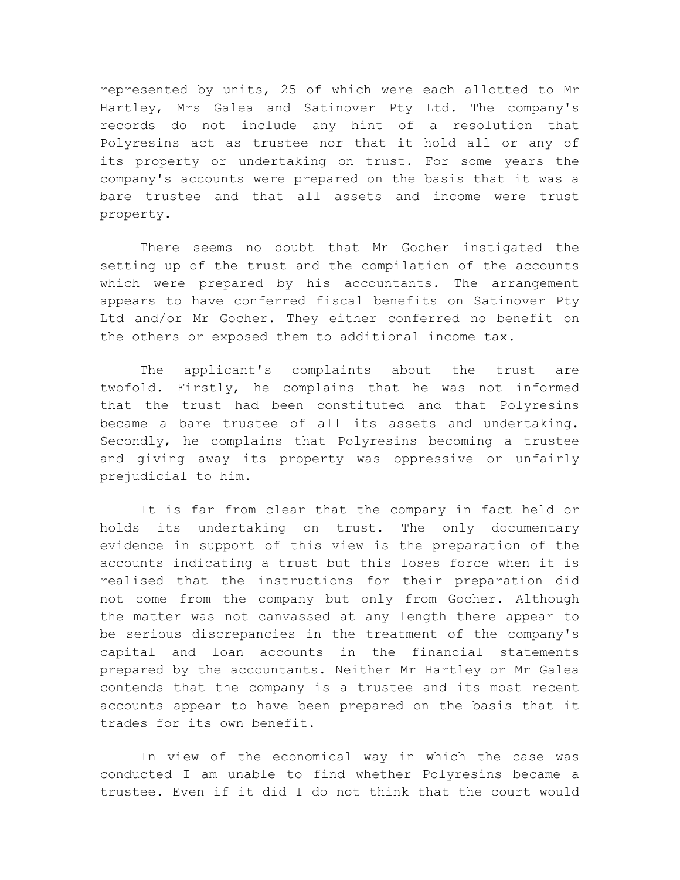represented by units, 25 of which were each allotted to Mr Hartley, Mrs Galea and Satinover Pty Ltd. The company's records do not include any hint of a resolution that Polyresins act as trustee nor that it hold all or any of its property or undertaking on trust. For some years the company's accounts were prepared on the basis that it was a bare trustee and that all assets and income were trust property.

There seems no doubt that Mr Gocher instigated the setting up of the trust and the compilation of the accounts which were prepared by his accountants. The arrangement appears to have conferred fiscal benefits on Satinover Pty Ltd and/or Mr Gocher. They either conferred no benefit on the others or exposed them to additional income tax.

The applicant's complaints about the trust are twofold. Firstly, he complains that he was not informed that the trust had been constituted and that Polyresins became a bare trustee of all its assets and undertaking. Secondly, he complains that Polyresins becoming a trustee and giving away its property was oppressive or unfairly prejudicial to him.

It is far from clear that the company in fact held or holds its undertaking on trust. The only documentary evidence in support of this view is the preparation of the accounts indicating a trust but this loses force when it is realised that the instructions for their preparation did not come from the company but only from Gocher. Although the matter was not canvassed at any length there appear to be serious discrepancies in the treatment of the company's capital and loan accounts in the financial statements prepared by the accountants. Neither Mr Hartley or Mr Galea contends that the company is a trustee and its most recent accounts appear to have been prepared on the basis that it trades for its own benefit.

In view of the economical way in which the case was conducted I am unable to find whether Polyresins became a trustee. Even if it did I do not think that the court would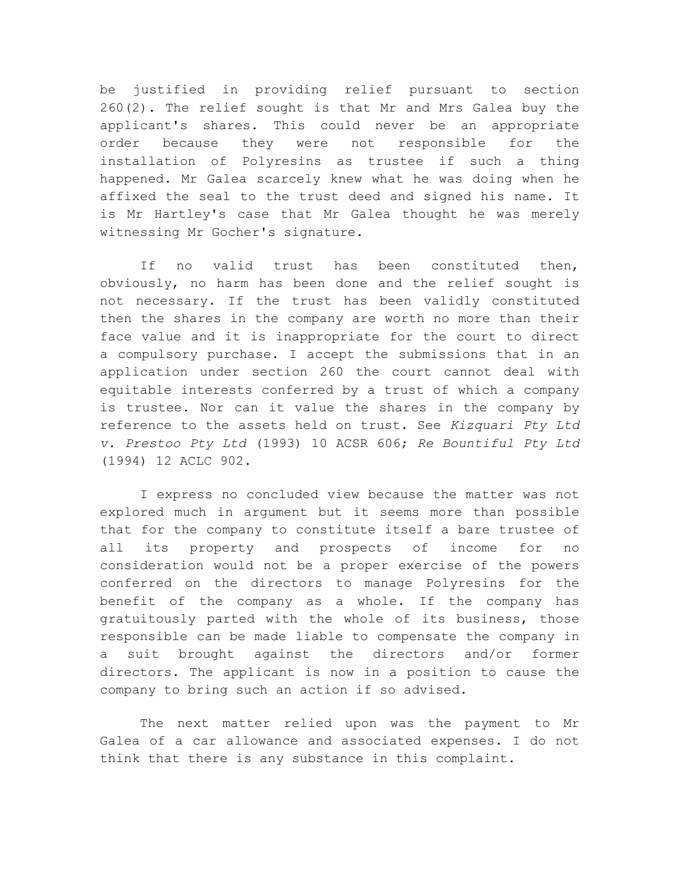be justified in providing relief pursuant to section 260(2). The relief sought is that Mr and Mrs Galea buy the applicant's shares. This could never be an appropriate order because they were not responsible for the installation of Polyresins as trustee if such a thing happened. Mr Galea scarcely knew what he was doing when he affixed the seal to the trust deed and signed his name. It is Mr Hartley's case that Mr Galea thought he was merely witnessing Mr Gocher's signature.

If no valid trust has been constituted then, obviously, no harm has been done and the relief sought is not necessary. If the trust has been validly constituted then the shares in the company are worth no more than their face value and it is inappropriate for the court to direct a compulsory purchase. I accept the submissions that in an application under section 260 the court cannot deal with equitable interests conferred by a trust of which a company is trustee. Nor can it value the shares in the company by reference to the assets held on trust. See *Kizquari Pty Ltd v. Prestoo Pty Ltd* (1993) 10 ACSR 606; *Re Bountiful Pty Ltd* (1994) 12 ACLC 902.

I express no concluded view because the matter was not explored much in argument but it seems more than possible that for the company to constitute itself a bare trustee of all its property and prospects of income for no consideration would not be a proper exercise of the powers conferred on the directors to manage Polyresins for the benefit of the company as a whole. If the company has gratuitously parted with the whole of its business, those responsible can be made liable to compensate the company in a suit brought against the directors and/or former directors. The applicant is now in a position to cause the company to bring such an action if so advised.

The next matter relied upon was the payment to Mr Galea of a car allowance and associated expenses. I do not think that there is any substance in this complaint.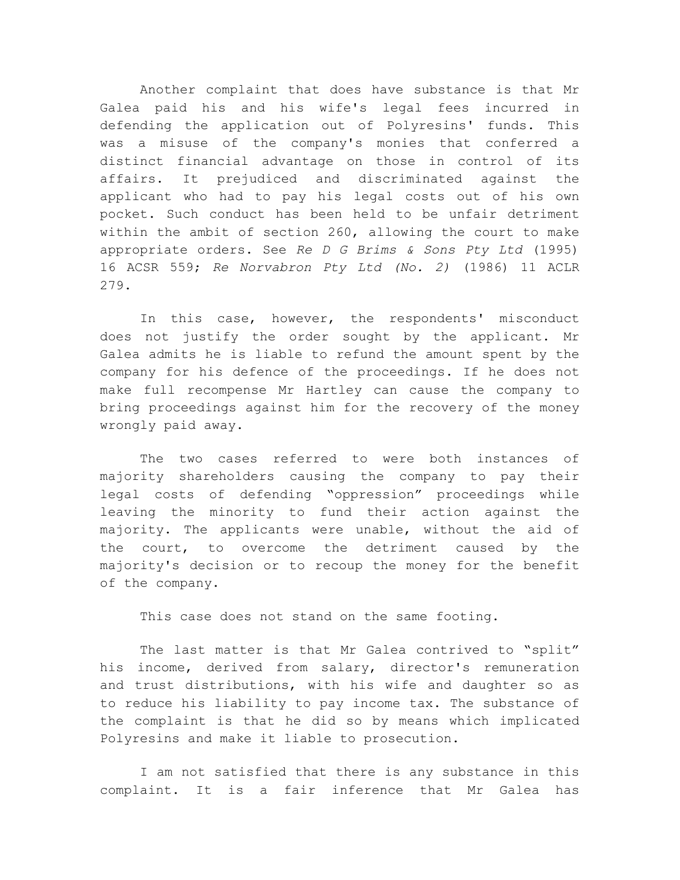Another complaint that does have substance is that Mr Galea paid his and his wife's legal fees incurred in defending the application out of Polyresins' funds. This was a misuse of the company's monies that conferred a distinct financial advantage on those in control of its affairs. It prejudiced and discriminated against the applicant who had to pay his legal costs out of his own pocket. Such conduct has been held to be unfair detriment within the ambit of section 260, allowing the court to make appropriate orders. See *Re D G Brims & Sons Pty Ltd* (1995) 16 ACSR 559; *Re Norvabron Pty Ltd (No. 2)* (1986) 11 ACLR 279.

In this case, however, the respondents' misconduct does not justify the order sought by the applicant. Mr Galea admits he is liable to refund the amount spent by the company for his defence of the proceedings. If he does not make full recompense Mr Hartley can cause the company to bring proceedings against him for the recovery of the money wrongly paid away.

The two cases referred to were both instances of majority shareholders causing the company to pay their legal costs of defending "oppression" proceedings while leaving the minority to fund their action against the majority. The applicants were unable, without the aid of the court, to overcome the detriment caused by the majority's decision or to recoup the money for the benefit of the company.

This case does not stand on the same footing.

The last matter is that Mr Galea contrived to "split" his income, derived from salary, director's remuneration and trust distributions, with his wife and daughter so as to reduce his liability to pay income tax. The substance of the complaint is that he did so by means which implicated Polyresins and make it liable to prosecution.

I am not satisfied that there is any substance in this complaint. It is a fair inference that Mr Galea has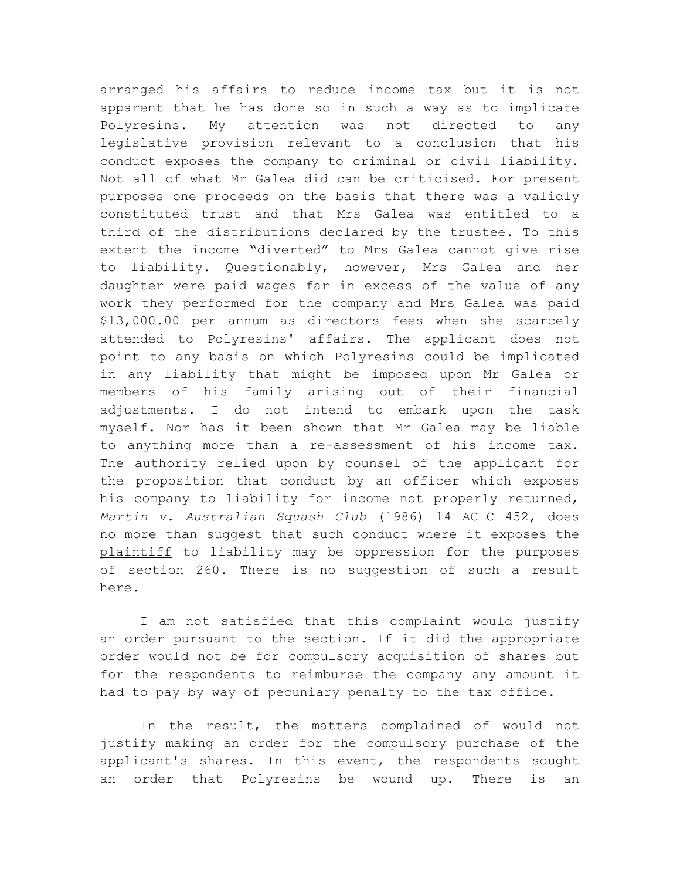arranged his affairs to reduce income tax but it is not apparent that he has done so in such a way as to implicate Polyresins. My attention was not directed to any legislative provision relevant to a conclusion that his conduct exposes the company to criminal or civil liability. Not all of what Mr Galea did can be criticised. For present purposes one proceeds on the basis that there was a validly constituted trust and that Mrs Galea was entitled to a third of the distributions declared by the trustee. To this extent the income "diverted" to Mrs Galea cannot give rise to liability. Questionably, however, Mrs Galea and her daughter were paid wages far in excess of the value of any work they performed for the company and Mrs Galea was paid \$13,000.00 per annum as directors fees when she scarcely attended to Polyresins' affairs. The applicant does not point to any basis on which Polyresins could be implicated in any liability that might be imposed upon Mr Galea or members of his family arising out of their financial adjustments. I do not intend to embark upon the task myself. Nor has it been shown that Mr Galea may be liable to anything more than a re-assessment of his income tax. The authority relied upon by counsel of the applicant for the proposition that conduct by an officer which exposes his company to liability for income not properly returned, *Martin v. Australian Squash Club* (1986) 14 ACLC 452, does no more than suggest that such conduct where it exposes the plaintiff to liability may be oppression for the purposes of section 260. There is no suggestion of such a result here.

I am not satisfied that this complaint would justify an order pursuant to the section. If it did the appropriate order would not be for compulsory acquisition of shares but for the respondents to reimburse the company any amount it had to pay by way of pecuniary penalty to the tax office.

In the result, the matters complained of would not justify making an order for the compulsory purchase of the applicant's shares. In this event, the respondents sought an order that Polyresins be wound up. There is an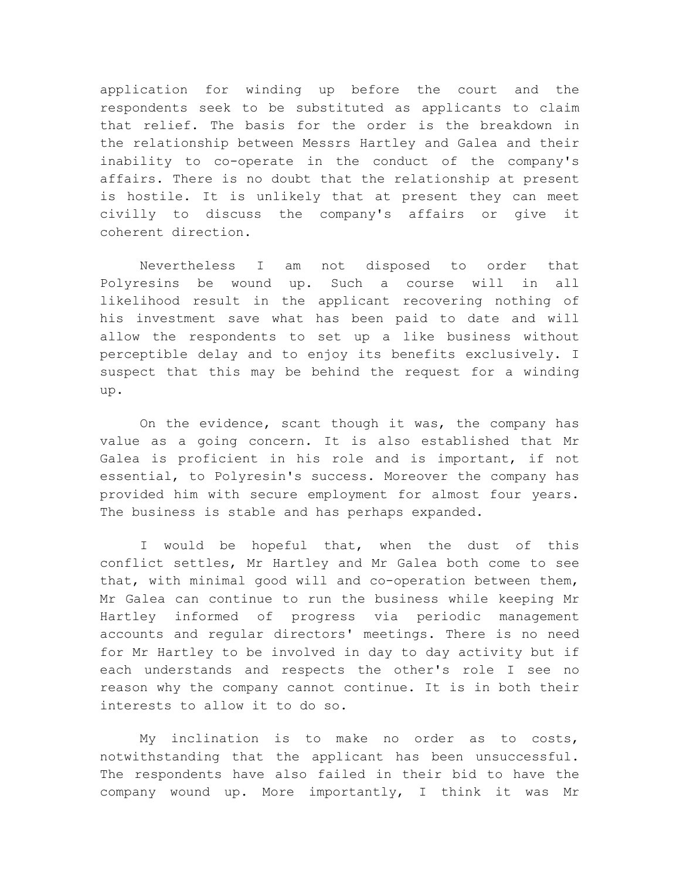application for winding up before the court and the respondents seek to be substituted as applicants to claim that relief. The basis for the order is the breakdown in the relationship between Messrs Hartley and Galea and their inability to co-operate in the conduct of the company's affairs. There is no doubt that the relationship at present is hostile. It is unlikely that at present they can meet civilly to discuss the company's affairs or give it coherent direction.

Nevertheless I am not disposed to order that Polyresins be wound up. Such a course will in all likelihood result in the applicant recovering nothing of his investment save what has been paid to date and will allow the respondents to set up a like business without perceptible delay and to enjoy its benefits exclusively. I suspect that this may be behind the request for a winding up.

On the evidence, scant though it was, the company has value as a going concern. It is also established that Mr Galea is proficient in his role and is important, if not essential, to Polyresin's success. Moreover the company has provided him with secure employment for almost four years. The business is stable and has perhaps expanded.

I would be hopeful that, when the dust of this conflict settles, Mr Hartley and Mr Galea both come to see that, with minimal good will and co-operation between them, Mr Galea can continue to run the business while keeping Mr Hartley informed of progress via periodic management accounts and regular directors' meetings. There is no need for Mr Hartley to be involved in day to day activity but if each understands and respects the other's role I see no reason why the company cannot continue. It is in both their interests to allow it to do so.

My inclination is to make no order as to costs, notwithstanding that the applicant has been unsuccessful. The respondents have also failed in their bid to have the company wound up. More importantly, I think it was Mr